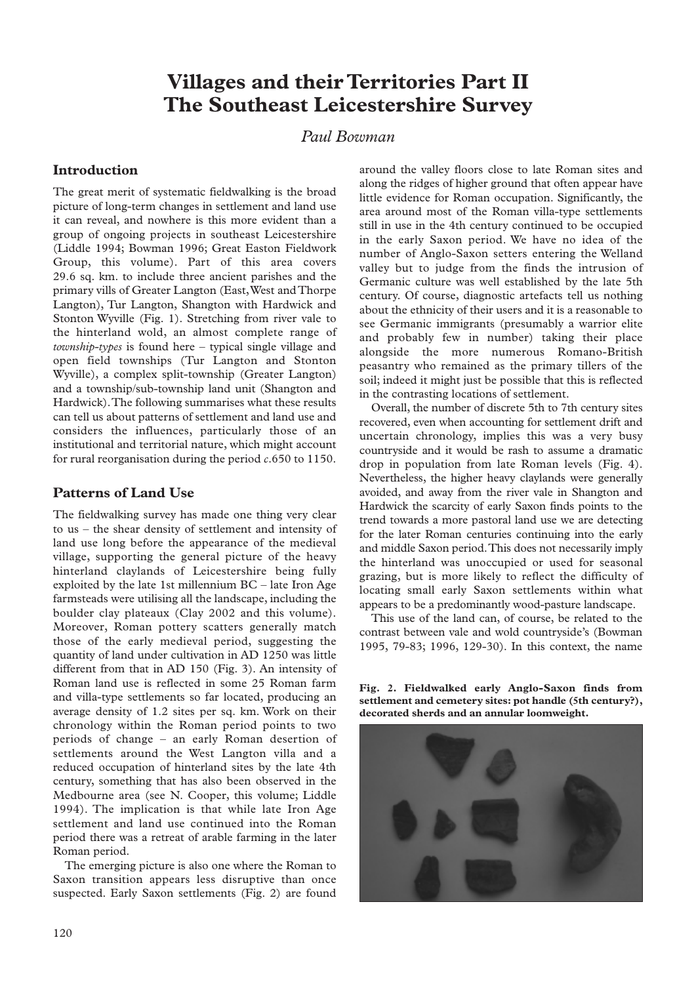# **Villages and their Territories Part II The Southeast Leicestershire Survey**

## *Paul Bowman*

## **Introduction**

The great merit of systematic fieldwalking is the broad picture of long-term changes in settlement and land use it can reveal, and nowhere is this more evident than a group of ongoing projects in southeast Leicestershire (Liddle 1994; Bowman 1996; Great Easton Fieldwork Group, this volume). Part of this area covers 29.6 sq. km. to include three ancient parishes and the primary vills of Greater Langton (East,West and Thorpe Langton), Tur Langton, Shangton with Hardwick and Stonton Wyville (Fig. 1). Stretching from river vale to the hinterland wold, an almost complete range of *township-types* is found here – typical single village and open field townships (Tur Langton and Stonton Wyville), a complex split-township (Greater Langton) and a township/sub-township land unit (Shangton and Hardwick).The following summarises what these results can tell us about patterns of settlement and land use and considers the influences, particularly those of an institutional and territorial nature, which might account for rural reorganisation during the period *c*.650 to 1150.

## **Patterns of Land Use**

The fieldwalking survey has made one thing very clear to us – the shear density of settlement and intensity of land use long before the appearance of the medieval village, supporting the general picture of the heavy hinterland claylands of Leicestershire being fully exploited by the late 1st millennium BC – late Iron Age farmsteads were utilising all the landscape, including the boulder clay plateaux (Clay 2002 and this volume). Moreover, Roman pottery scatters generally match those of the early medieval period, suggesting the quantity of land under cultivation in AD 1250 was little different from that in AD 150 (Fig. 3). An intensity of Roman land use is reflected in some 25 Roman farm and villa-type settlements so far located, producing an average density of 1.2 sites per sq. km. Work on their chronology within the Roman period points to two periods of change – an early Roman desertion of settlements around the West Langton villa and a reduced occupation of hinterland sites by the late 4th century, something that has also been observed in the Medbourne area (see N. Cooper, this volume; Liddle 1994). The implication is that while late Iron Age settlement and land use continued into the Roman period there was a retreat of arable farming in the later Roman period.

The emerging picture is also one where the Roman to Saxon transition appears less disruptive than once suspected. Early Saxon settlements (Fig. 2) are found

around the valley floors close to late Roman sites and along the ridges of higher ground that often appear have little evidence for Roman occupation. Significantly, the area around most of the Roman villa-type settlements still in use in the 4th century continued to be occupied in the early Saxon period. We have no idea of the number of Anglo-Saxon setters entering the Welland valley but to judge from the finds the intrusion of Germanic culture was well established by the late 5th century. Of course, diagnostic artefacts tell us nothing about the ethnicity of their users and it is a reasonable to see Germanic immigrants (presumably a warrior elite and probably few in number) taking their place alongside the more numerous Romano-British peasantry who remained as the primary tillers of the soil; indeed it might just be possible that this is reflected in the contrasting locations of settlement.

Overall, the number of discrete 5th to 7th century sites recovered, even when accounting for settlement drift and uncertain chronology, implies this was a very busy countryside and it would be rash to assume a dramatic drop in population from late Roman levels (Fig. 4). Nevertheless, the higher heavy claylands were generally avoided, and away from the river vale in Shangton and Hardwick the scarcity of early Saxon finds points to the trend towards a more pastoral land use we are detecting for the later Roman centuries continuing into the early and middle Saxon period.This does not necessarily imply the hinterland was unoccupied or used for seasonal grazing, but is more likely to reflect the difficulty of locating small early Saxon settlements within what appears to be a predominantly wood-pasture landscape.

This use of the land can, of course, be related to the contrast between vale and wold countryside's (Bowman 1995, 79-83; 1996, 129-30). In this context, the name

**Fig. 2. Fieldwalked early Anglo-Saxon finds from settlement and cemetery sites: pot handle (5th century?), decorated sherds and an annular loomweight.**

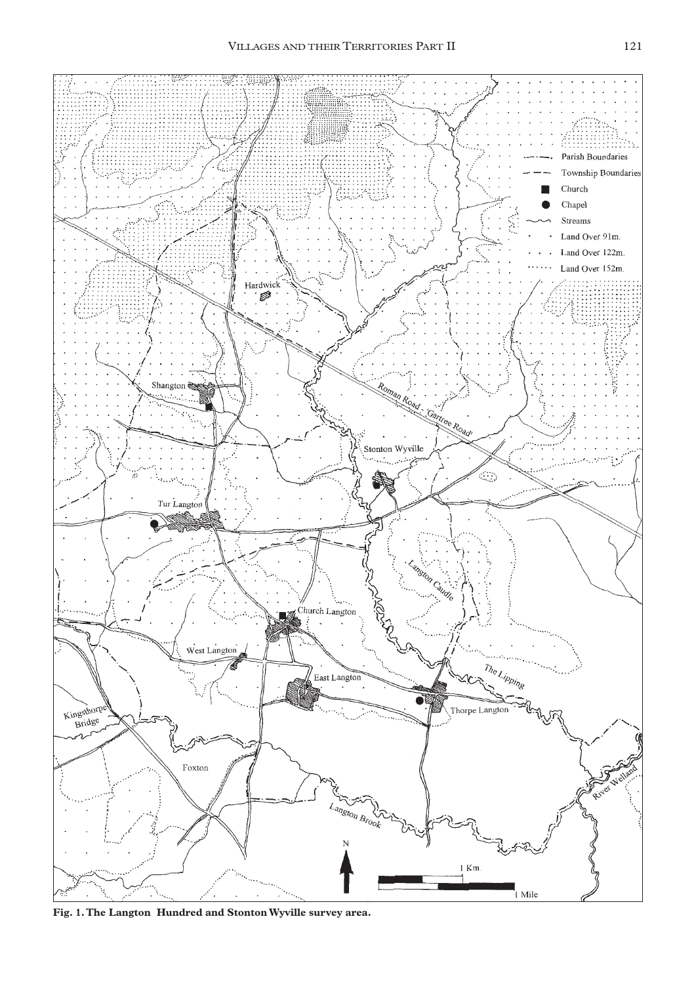

**Fig. 1.The Langton Hundred and Stonton Wyville survey area.**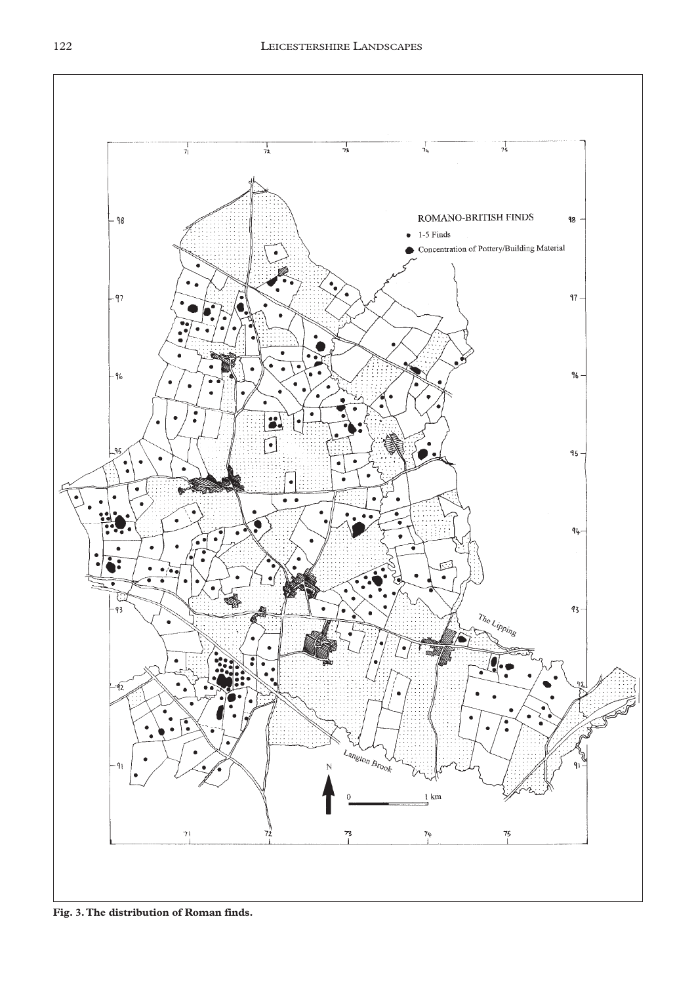

**Fig. 3.The distribution of Roman finds.**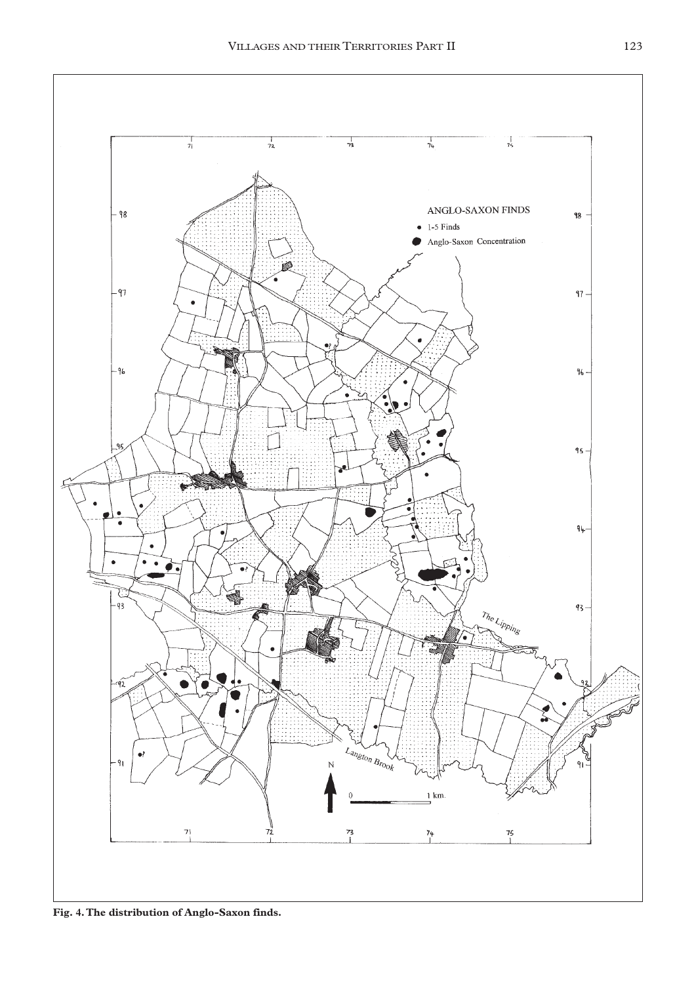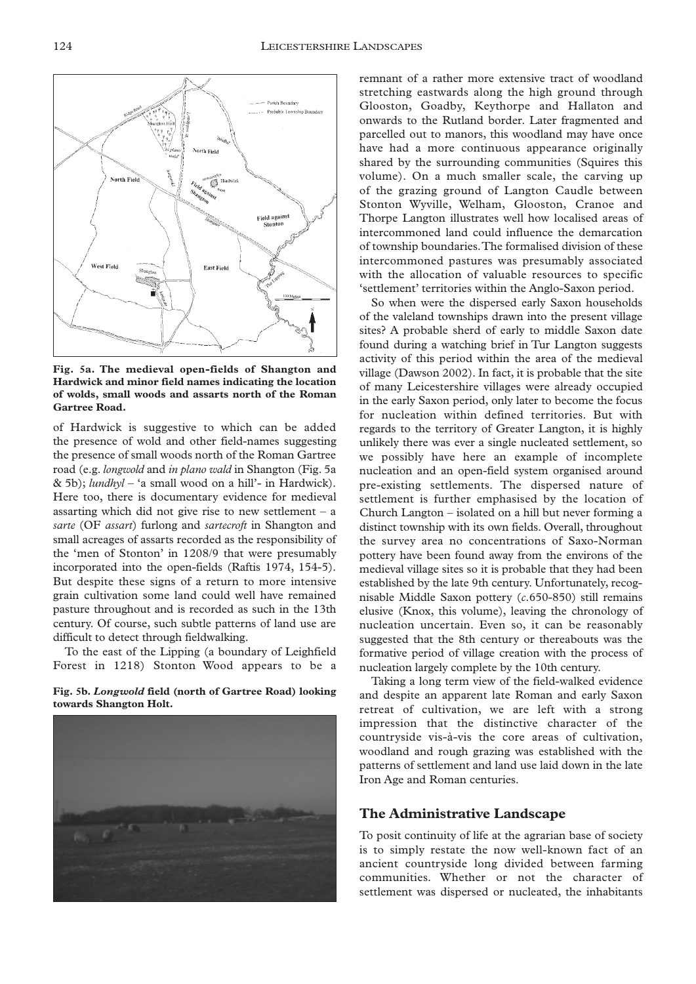

**Fig. 5a. The medieval open-fields of Shangton and Hardwick and minor field names indicating the location of wolds, small woods and assarts north of the Roman Gartree Road.**

of Hardwick is suggestive to which can be added the presence of wold and other field-names suggesting the presence of small woods north of the Roman Gartree road (e.g. *longwold* and *in plano wald* in Shangton (Fig. 5a & 5b); *lundhyl* – 'a small wood on a hill'- in Hardwick). Here too, there is documentary evidence for medieval assarting which did not give rise to new settlement  $-$  a *sarte* (OF *assart*) furlong and *sartecroft* in Shangton and small acreages of assarts recorded as the responsibility of the 'men of Stonton' in 1208/9 that were presumably incorporated into the open-fields (Raftis 1974, 154-5). But despite these signs of a return to more intensive grain cultivation some land could well have remained pasture throughout and is recorded as such in the 13th century. Of course, such subtle patterns of land use are difficult to detect through fieldwalking.

To the east of the Lipping (a boundary of Leighfield Forest in 1218) Stonton Wood appears to be a

**Fig. 5b.** *Longwold* **field (north of Gartree Road) looking towards Shangton Holt.**



remnant of a rather more extensive tract of woodland stretching eastwards along the high ground through Glooston, Goadby, Keythorpe and Hallaton and onwards to the Rutland border. Later fragmented and parcelled out to manors, this woodland may have once have had a more continuous appearance originally shared by the surrounding communities (Squires this volume). On a much smaller scale, the carving up of the grazing ground of Langton Caudle between Stonton Wyville, Welham, Glooston, Cranoe and Thorpe Langton illustrates well how localised areas of intercommoned land could influence the demarcation of township boundaries.The formalised division of these intercommoned pastures was presumably associated with the allocation of valuable resources to specific 'settlement' territories within the Anglo-Saxon period.

So when were the dispersed early Saxon households of the valeland townships drawn into the present village sites? A probable sherd of early to middle Saxon date found during a watching brief in Tur Langton suggests activity of this period within the area of the medieval village (Dawson 2002). In fact, it is probable that the site of many Leicestershire villages were already occupied in the early Saxon period, only later to become the focus for nucleation within defined territories. But with regards to the territory of Greater Langton, it is highly unlikely there was ever a single nucleated settlement, so we possibly have here an example of incomplete nucleation and an open-field system organised around pre-existing settlements. The dispersed nature of settlement is further emphasised by the location of Church Langton – isolated on a hill but never forming a distinct township with its own fields. Overall, throughout the survey area no concentrations of Saxo-Norman pottery have been found away from the environs of the medieval village sites so it is probable that they had been established by the late 9th century. Unfortunately, recognisable Middle Saxon pottery (*c*.650-850) still remains elusive (Knox, this volume), leaving the chronology of nucleation uncertain. Even so, it can be reasonably suggested that the 8th century or thereabouts was the formative period of village creation with the process of nucleation largely complete by the 10th century.

Taking a long term view of the field-walked evidence and despite an apparent late Roman and early Saxon retreat of cultivation, we are left with a strong impression that the distinctive character of the countryside vis-à-vis the core areas of cultivation, woodland and rough grazing was established with the patterns of settlement and land use laid down in the late Iron Age and Roman centuries.

## **The Administrative Landscape**

To posit continuity of life at the agrarian base of society is to simply restate the now well-known fact of an ancient countryside long divided between farming communities. Whether or not the character of settlement was dispersed or nucleated, the inhabitants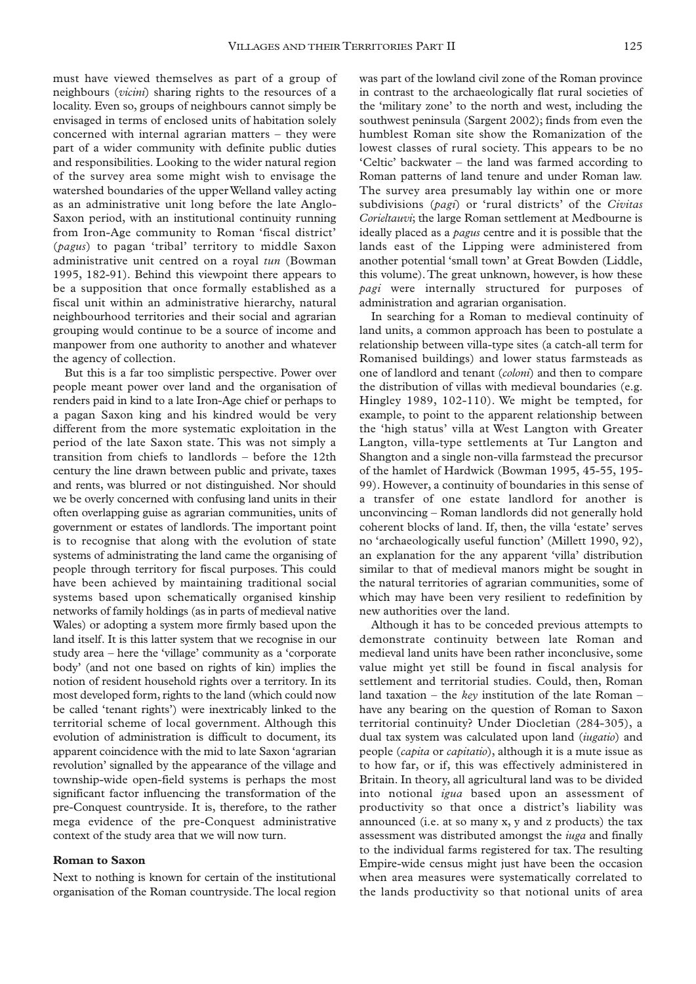must have viewed themselves as part of a group of neighbours (*vicini*) sharing rights to the resources of a locality. Even so, groups of neighbours cannot simply be envisaged in terms of enclosed units of habitation solely concerned with internal agrarian matters – they were part of a wider community with definite public duties and responsibilities. Looking to the wider natural region of the survey area some might wish to envisage the watershed boundaries of the upper Welland valley acting as an administrative unit long before the late Anglo-Saxon period, with an institutional continuity running from Iron-Age community to Roman 'fiscal district' (*pagus*) to pagan 'tribal' territory to middle Saxon administrative unit centred on a royal *tun* (Bowman 1995, 182-91). Behind this viewpoint there appears to be a supposition that once formally established as a fiscal unit within an administrative hierarchy, natural neighbourhood territories and their social and agrarian grouping would continue to be a source of income and manpower from one authority to another and whatever the agency of collection.

But this is a far too simplistic perspective. Power over people meant power over land and the organisation of renders paid in kind to a late Iron-Age chief or perhaps to a pagan Saxon king and his kindred would be very different from the more systematic exploitation in the period of the late Saxon state. This was not simply a transition from chiefs to landlords – before the 12th century the line drawn between public and private, taxes and rents, was blurred or not distinguished. Nor should we be overly concerned with confusing land units in their often overlapping guise as agrarian communities, units of government or estates of landlords. The important point is to recognise that along with the evolution of state systems of administrating the land came the organising of people through territory for fiscal purposes. This could have been achieved by maintaining traditional social systems based upon schematically organised kinship networks of family holdings (as in parts of medieval native Wales) or adopting a system more firmly based upon the land itself. It is this latter system that we recognise in our study area – here the 'village' community as a 'corporate body' (and not one based on rights of kin) implies the notion of resident household rights over a territory. In its most developed form, rights to the land (which could now be called 'tenant rights') were inextricably linked to the territorial scheme of local government. Although this evolution of administration is difficult to document, its apparent coincidence with the mid to late Saxon 'agrarian revolution' signalled by the appearance of the village and township-wide open-field systems is perhaps the most significant factor influencing the transformation of the pre-Conquest countryside. It is, therefore, to the rather mega evidence of the pre-Conquest administrative context of the study area that we will now turn.

#### **Roman to Saxon**

Next to nothing is known for certain of the institutional organisation of the Roman countryside.The local region

was part of the lowland civil zone of the Roman province in contrast to the archaeologically flat rural societies of the 'military zone' to the north and west, including the southwest peninsula (Sargent 2002); finds from even the humblest Roman site show the Romanization of the lowest classes of rural society. This appears to be no 'Celtic' backwater – the land was farmed according to Roman patterns of land tenure and under Roman law. The survey area presumably lay within one or more subdivisions (*pagi*) or 'rural districts' of the *Civitas Corieltauvi*; the large Roman settlement at Medbourne is ideally placed as a *pagus* centre and it is possible that the lands east of the Lipping were administered from another potential 'small town' at Great Bowden (Liddle, this volume). The great unknown, however, is how these *pagi* were internally structured for purposes of administration and agrarian organisation.

In searching for a Roman to medieval continuity of land units, a common approach has been to postulate a relationship between villa-type sites (a catch-all term for Romanised buildings) and lower status farmsteads as one of landlord and tenant (*coloni*) and then to compare the distribution of villas with medieval boundaries (e.g. Hingley 1989, 102-110). We might be tempted, for example, to point to the apparent relationship between the 'high status' villa at West Langton with Greater Langton, villa-type settlements at Tur Langton and Shangton and a single non-villa farmstead the precursor of the hamlet of Hardwick (Bowman 1995, 45-55, 195- 99). However, a continuity of boundaries in this sense of a transfer of one estate landlord for another is unconvincing – Roman landlords did not generally hold coherent blocks of land. If, then, the villa 'estate' serves no 'archaeologically useful function' (Millett 1990, 92), an explanation for the any apparent 'villa' distribution similar to that of medieval manors might be sought in the natural territories of agrarian communities, some of which may have been very resilient to redefinition by new authorities over the land.

Although it has to be conceded previous attempts to demonstrate continuity between late Roman and medieval land units have been rather inconclusive, some value might yet still be found in fiscal analysis for settlement and territorial studies. Could, then, Roman land taxation – the *key* institution of the late Roman – have any bearing on the question of Roman to Saxon territorial continuity? Under Diocletian (284-305), a dual tax system was calculated upon land (*iugatio*) and people (*capita* or *capitatio*), although it is a mute issue as to how far, or if, this was effectively administered in Britain. In theory, all agricultural land was to be divided into notional *igua* based upon an assessment of productivity so that once a district's liability was announced (i.e. at so many x, y and z products) the tax assessment was distributed amongst the *iuga* and finally to the individual farms registered for tax. The resulting Empire-wide census might just have been the occasion when area measures were systematically correlated to the lands productivity so that notional units of area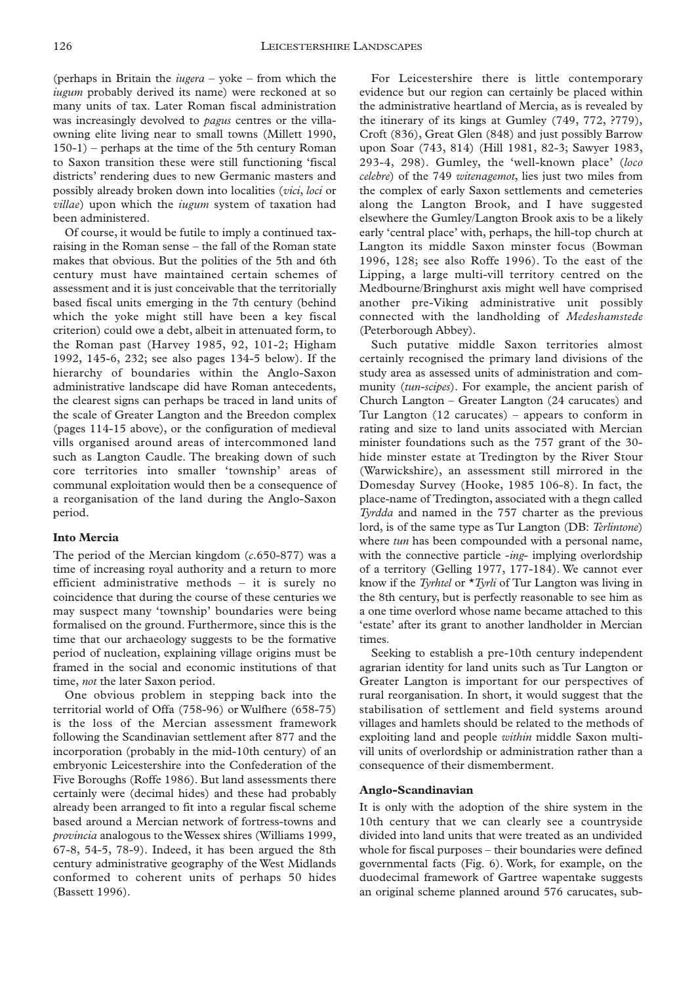(perhaps in Britain the *iugera* – yoke – from which the *iugum* probably derived its name) were reckoned at so many units of tax. Later Roman fiscal administration was increasingly devolved to *pagus* centres or the villaowning elite living near to small towns (Millett 1990, 150-1) – perhaps at the time of the 5th century Roman to Saxon transition these were still functioning 'fiscal districts' rendering dues to new Germanic masters and possibly already broken down into localities (*vici*, *loci* or *villae*) upon which the *iugum* system of taxation had been administered.

Of course, it would be futile to imply a continued taxraising in the Roman sense – the fall of the Roman state makes that obvious. But the polities of the 5th and 6th century must have maintained certain schemes of assessment and it is just conceivable that the territorially based fiscal units emerging in the 7th century (behind which the yoke might still have been a key fiscal criterion) could owe a debt, albeit in attenuated form, to the Roman past (Harvey 1985, 92, 101-2; Higham 1992, 145-6, 232; see also pages 134-5 below). If the hierarchy of boundaries within the Anglo-Saxon administrative landscape did have Roman antecedents, the clearest signs can perhaps be traced in land units of the scale of Greater Langton and the Breedon complex (pages 114-15 above), or the configuration of medieval vills organised around areas of intercommoned land such as Langton Caudle. The breaking down of such core territories into smaller 'township' areas of communal exploitation would then be a consequence of a reorganisation of the land during the Anglo-Saxon period.

### **Into Mercia**

The period of the Mercian kingdom (*c*.650-877) was a time of increasing royal authority and a return to more efficient administrative methods – it is surely no coincidence that during the course of these centuries we may suspect many 'township' boundaries were being formalised on the ground. Furthermore, since this is the time that our archaeology suggests to be the formative period of nucleation, explaining village origins must be framed in the social and economic institutions of that time, *not* the later Saxon period.

One obvious problem in stepping back into the territorial world of Offa (758-96) or Wulfhere (658-75) is the loss of the Mercian assessment framework following the Scandinavian settlement after 877 and the incorporation (probably in the mid-10th century) of an embryonic Leicestershire into the Confederation of the Five Boroughs (Roffe 1986). But land assessments there certainly were (decimal hides) and these had probably already been arranged to fit into a regular fiscal scheme based around a Mercian network of fortress-towns and *provincia* analogous to the Wessex shires (Williams 1999, 67-8, 54-5, 78-9). Indeed, it has been argued the 8th century administrative geography of the West Midlands conformed to coherent units of perhaps 50 hides (Bassett 1996).

For Leicestershire there is little contemporary evidence but our region can certainly be placed within the administrative heartland of Mercia, as is revealed by the itinerary of its kings at Gumley (749, 772, ?779), Croft (836), Great Glen (848) and just possibly Barrow upon Soar (743, 814) (Hill 1981, 82-3; Sawyer 1983, 293-4, 298). Gumley, the 'well-known place' (*loco celebre*) of the 749 *witenagemot*, lies just two miles from the complex of early Saxon settlements and cemeteries along the Langton Brook, and I have suggested elsewhere the Gumley/Langton Brook axis to be a likely early 'central place' with, perhaps, the hill-top church at Langton its middle Saxon minster focus (Bowman 1996, 128; see also Roffe 1996). To the east of the Lipping, a large multi-vill territory centred on the Medbourne/Bringhurst axis might well have comprised another pre-Viking administrative unit possibly connected with the landholding of *Medeshamstede* (Peterborough Abbey).

Such putative middle Saxon territories almost certainly recognised the primary land divisions of the study area as assessed units of administration and community (*tun-scipes*). For example, the ancient parish of Church Langton – Greater Langton (24 carucates) and Tur Langton (12 carucates) – appears to conform in rating and size to land units associated with Mercian minister foundations such as the 757 grant of the 30 hide minster estate at Tredington by the River Stour (Warwickshire), an assessment still mirrored in the Domesday Survey (Hooke, 1985 106-8). In fact, the place-name of Tredington, associated with a thegn called *Tyrdda* and named in the 757 charter as the previous lord, is of the same type as Tur Langton (DB: *Terlintone*) where *tun* has been compounded with a personal name, with the connective particle -*ing*- implying overlordship of a territory (Gelling 1977, 177-184). We cannot ever know if the *Tyrhtel* or \**Tyrli* of Tur Langton was living in the 8th century, but is perfectly reasonable to see him as a one time overlord whose name became attached to this 'estate' after its grant to another landholder in Mercian times.

Seeking to establish a pre-10th century independent agrarian identity for land units such as Tur Langton or Greater Langton is important for our perspectives of rural reorganisation. In short, it would suggest that the stabilisation of settlement and field systems around villages and hamlets should be related to the methods of exploiting land and people *within* middle Saxon multivill units of overlordship or administration rather than a consequence of their dismemberment.

#### **Anglo-Scandinavian**

It is only with the adoption of the shire system in the 10th century that we can clearly see a countryside divided into land units that were treated as an undivided whole for fiscal purposes – their boundaries were defined governmental facts (Fig. 6). Work, for example, on the duodecimal framework of Gartree wapentake suggests an original scheme planned around 576 carucates, sub-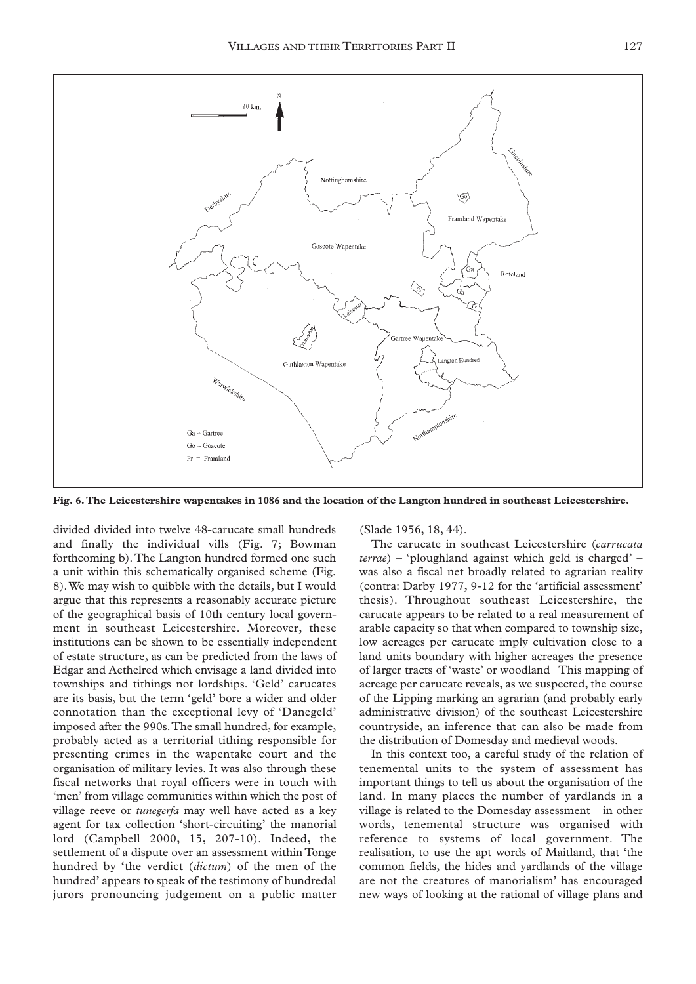

**Fig. 6.The Leicestershire wapentakes in 1086 and the location of the Langton hundred in southeast Leicestershire.**

divided divided into twelve 48-carucate small hundreds and finally the individual vills (Fig. 7; Bowman forthcoming b).The Langton hundred formed one such a unit within this schematically organised scheme (Fig. 8).We may wish to quibble with the details, but I would argue that this represents a reasonably accurate picture of the geographical basis of 10th century local government in southeast Leicestershire. Moreover, these institutions can be shown to be essentially independent of estate structure, as can be predicted from the laws of Edgar and Aethelred which envisage a land divided into townships and tithings not lordships. 'Geld' carucates are its basis, but the term 'geld' bore a wider and older connotation than the exceptional levy of 'Danegeld' imposed after the 990s.The small hundred, for example, probably acted as a territorial tithing responsible for presenting crimes in the wapentake court and the organisation of military levies. It was also through these fiscal networks that royal officers were in touch with 'men' from village communities within which the post of village reeve or *tunegerfa* may well have acted as a key agent for tax collection 'short-circuiting' the manorial lord (Campbell 2000, 15, 207-10). Indeed, the settlement of a dispute over an assessment within Tonge hundred by 'the verdict (*dictum*) of the men of the hundred' appears to speak of the testimony of hundredal jurors pronouncing judgement on a public matter

(Slade 1956, 18, 44).

The carucate in southeast Leicestershire (*carrucata terrae*) – 'ploughland against which geld is charged' – was also a fiscal net broadly related to agrarian reality (contra: Darby 1977, 9-12 for the 'artificial assessment' thesis). Throughout southeast Leicestershire, the carucate appears to be related to a real measurement of arable capacity so that when compared to township size, low acreages per carucate imply cultivation close to a land units boundary with higher acreages the presence of larger tracts of 'waste' or woodland This mapping of acreage per carucate reveals, as we suspected, the course of the Lipping marking an agrarian (and probably early administrative division) of the southeast Leicestershire countryside, an inference that can also be made from the distribution of Domesday and medieval woods.

In this context too, a careful study of the relation of tenemental units to the system of assessment has important things to tell us about the organisation of the land. In many places the number of yardlands in a village is related to the Domesday assessment – in other words, tenemental structure was organised with reference to systems of local government. The realisation, to use the apt words of Maitland, that 'the common fields, the hides and yardlands of the village are not the creatures of manorialism' has encouraged new ways of looking at the rational of village plans and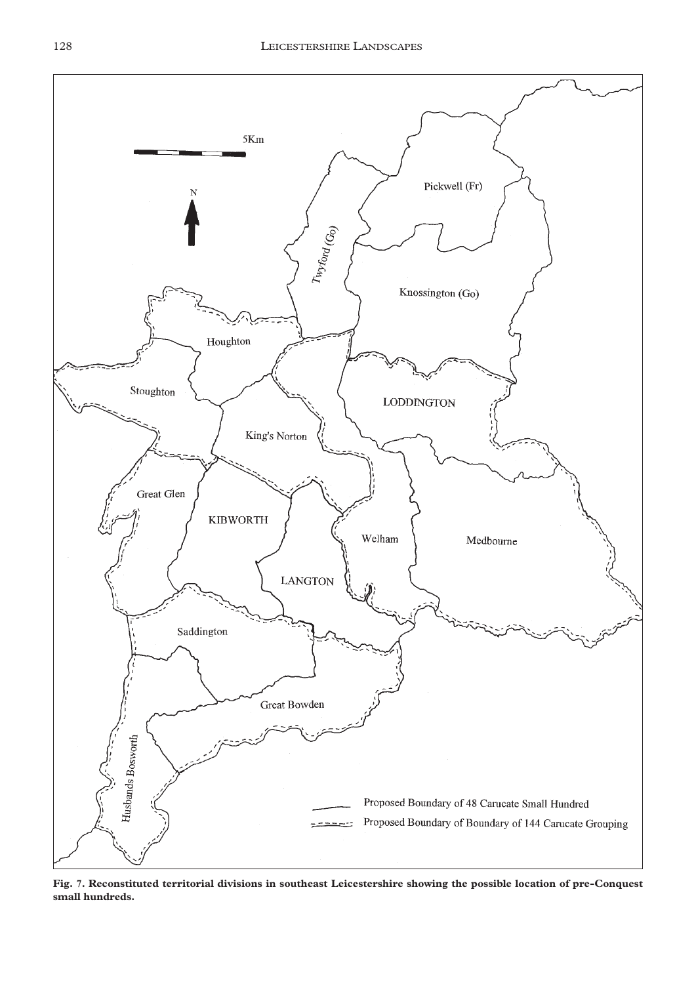

**Fig. 7. Reconstituted territorial divisions in southeast Leicestershire showing the possible location of pre-Conquest small hundreds.**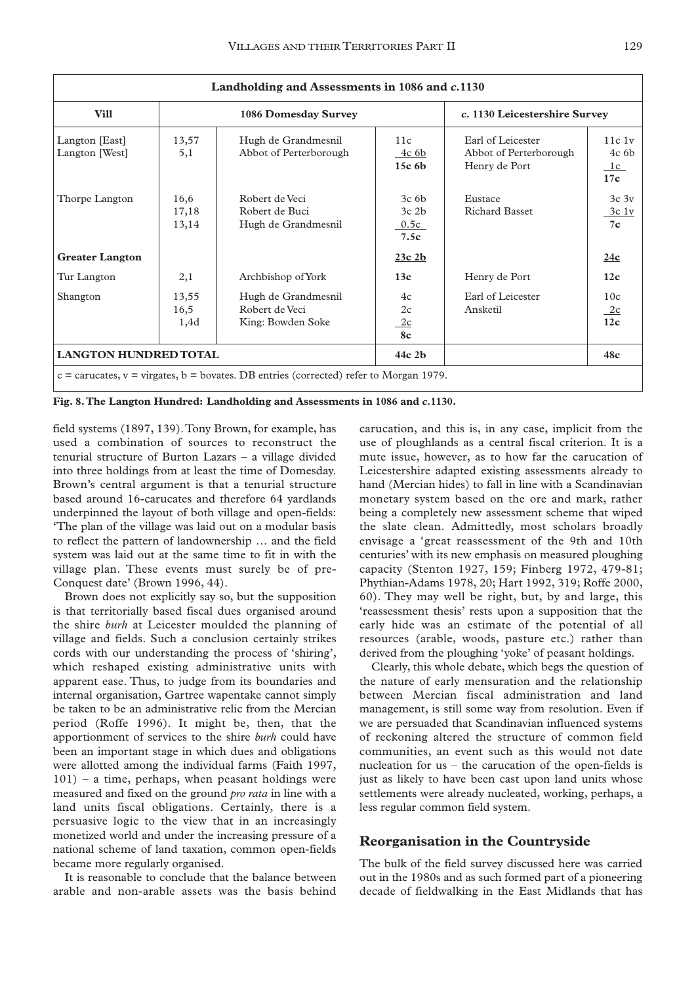| Landholding and Assessments in 1086 and c.1130                                               |                        |                                                            |                                                |                                                              |                                        |
|----------------------------------------------------------------------------------------------|------------------------|------------------------------------------------------------|------------------------------------------------|--------------------------------------------------------------|----------------------------------------|
| <b>Vill</b>                                                                                  | 1086 Domesday Survey   |                                                            |                                                | c. 1130 Leicestershire Survey                                |                                        |
| Langton [East]<br>Langton [West]                                                             | 13,57<br>5,1           | Hugh de Grandmesnil<br>Abbot of Perterborough              | 11c<br>4c 6b<br>15c <sub>6b</sub>              | Earl of Leicester<br>Abbot of Perterborough<br>Henry de Port | 11c1v<br>4c <sub>6b</sub><br>1c<br>17c |
| Thorpe Langton                                                                               | 16,6<br>17,18<br>13,14 | Robert de Veci<br>Robert de Buci<br>Hugh de Grandmesnil    | 3c <sub>6b</sub><br>$3c$ 2 $h$<br>0.5c<br>7.5c | Eustace<br><b>Richard Basset</b>                             | 3c <sub>3v</sub><br>3c1v<br>7c         |
| <b>Greater Langton</b>                                                                       |                        |                                                            | $23c$ $2b$                                     |                                                              | 24c                                    |
| Tur Langton                                                                                  | 2,1                    | Archbishop of York                                         | 13c                                            | Henry de Port                                                | 12c                                    |
| Shangton                                                                                     | 13,55<br>16,5<br>1,4d  | Hugh de Grandmesnil<br>Robert de Veci<br>King: Bowden Soke | 4c<br>2c<br>2c<br>8c                           | Earl of Leicester<br>Ansketil                                | 10c<br>2c<br>12 <sub>c</sub>           |
| <b>LANGTON HUNDRED TOTAL</b>                                                                 |                        |                                                            | $44c$ 2b                                       |                                                              | 48c                                    |
| $c =$ carucates, $v =$ virgates, $b =$ bovates. DB entries (corrected) refer to Morgan 1979. |                        |                                                            |                                                |                                                              |                                        |

**Fig. 8.The Langton Hundred: Landholding and Assessments in 1086 and** *c.***1130.**

field systems (1897, 139).Tony Brown, for example, has used a combination of sources to reconstruct the tenurial structure of Burton Lazars – a village divided into three holdings from at least the time of Domesday. Brown's central argument is that a tenurial structure based around 16-carucates and therefore 64 yardlands underpinned the layout of both village and open-fields: 'The plan of the village was laid out on a modular basis to reflect the pattern of landownership … and the field system was laid out at the same time to fit in with the village plan. These events must surely be of pre-Conquest date' (Brown 1996, 44).

Brown does not explicitly say so, but the supposition is that territorially based fiscal dues organised around the shire *burh* at Leicester moulded the planning of village and fields. Such a conclusion certainly strikes cords with our understanding the process of 'shiring', which reshaped existing administrative units with apparent ease. Thus, to judge from its boundaries and internal organisation, Gartree wapentake cannot simply be taken to be an administrative relic from the Mercian period (Roffe 1996). It might be, then, that the apportionment of services to the shire *burh* could have been an important stage in which dues and obligations were allotted among the individual farms (Faith 1997, 101) – a time, perhaps, when peasant holdings were measured and fixed on the ground *pro rata* in line with a land units fiscal obligations. Certainly, there is a persuasive logic to the view that in an increasingly monetized world and under the increasing pressure of a national scheme of land taxation, common open-fields became more regularly organised.

It is reasonable to conclude that the balance between arable and non-arable assets was the basis behind carucation, and this is, in any case, implicit from the use of ploughlands as a central fiscal criterion. It is a mute issue, however, as to how far the carucation of Leicestershire adapted existing assessments already to hand (Mercian hides) to fall in line with a Scandinavian monetary system based on the ore and mark, rather being a completely new assessment scheme that wiped the slate clean. Admittedly, most scholars broadly envisage a 'great reassessment of the 9th and 10th centuries' with its new emphasis on measured ploughing capacity (Stenton 1927, 159; Finberg 1972, 479-81; Phythian-Adams 1978, 20; Hart 1992, 319; Roffe 2000, 60). They may well be right, but, by and large, this 'reassessment thesis' rests upon a supposition that the early hide was an estimate of the potential of all resources (arable, woods, pasture etc.) rather than derived from the ploughing 'yoke' of peasant holdings.

Clearly, this whole debate, which begs the question of the nature of early mensuration and the relationship between Mercian fiscal administration and land management, is still some way from resolution. Even if we are persuaded that Scandinavian influenced systems of reckoning altered the structure of common field communities, an event such as this would not date nucleation for us – the carucation of the open-fields is just as likely to have been cast upon land units whose settlements were already nucleated, working, perhaps, a less regular common field system.

## **Reorganisation in the Countryside**

The bulk of the field survey discussed here was carried out in the 1980s and as such formed part of a pioneering decade of fieldwalking in the East Midlands that has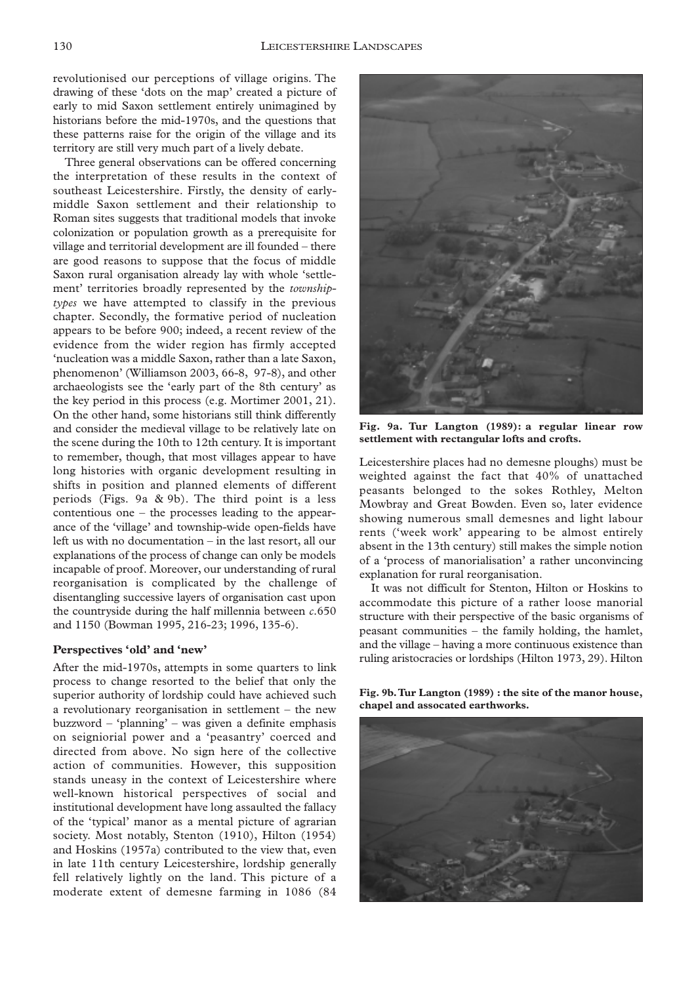revolutionised our perceptions of village origins. The drawing of these 'dots on the map' created a picture of early to mid Saxon settlement entirely unimagined by historians before the mid-1970s, and the questions that these patterns raise for the origin of the village and its territory are still very much part of a lively debate.

Three general observations can be offered concerning the interpretation of these results in the context of southeast Leicestershire. Firstly, the density of earlymiddle Saxon settlement and their relationship to Roman sites suggests that traditional models that invoke colonization or population growth as a prerequisite for village and territorial development are ill founded – there are good reasons to suppose that the focus of middle Saxon rural organisation already lay with whole 'settlement' territories broadly represented by the *townshiptypes* we have attempted to classify in the previous chapter. Secondly, the formative period of nucleation appears to be before 900; indeed, a recent review of the evidence from the wider region has firmly accepted 'nucleation was a middle Saxon, rather than a late Saxon, phenomenon' (Williamson 2003, 66-8, 97-8), and other archaeologists see the 'early part of the 8th century' as the key period in this process (e.g. Mortimer 2001, 21). On the other hand, some historians still think differently and consider the medieval village to be relatively late on the scene during the 10th to 12th century. It is important to remember, though, that most villages appear to have long histories with organic development resulting in shifts in position and planned elements of different periods (Figs. 9a & 9b). The third point is a less contentious one – the processes leading to the appearance of the 'village' and township-wide open-fields have left us with no documentation – in the last resort, all our explanations of the process of change can only be models incapable of proof. Moreover, our understanding of rural reorganisation is complicated by the challenge of disentangling successive layers of organisation cast upon the countryside during the half millennia between *c*.650 and 1150 (Bowman 1995, 216-23; 1996, 135-6).

#### **Perspectives 'old' and 'new'**

After the mid-1970s, attempts in some quarters to link process to change resorted to the belief that only the superior authority of lordship could have achieved such a revolutionary reorganisation in settlement – the new buzzword – 'planning' – was given a definite emphasis on seigniorial power and a 'peasantry' coerced and directed from above. No sign here of the collective action of communities. However, this supposition stands uneasy in the context of Leicestershire where well-known historical perspectives of social and institutional development have long assaulted the fallacy of the 'typical' manor as a mental picture of agrarian society. Most notably, Stenton (1910), Hilton (1954) and Hoskins (1957a) contributed to the view that, even in late 11th century Leicestershire, lordship generally fell relatively lightly on the land. This picture of a moderate extent of demesne farming in 1086 (84



**Fig. 9a. Tur Langton (1989): a regular linear row settlement with rectangular lofts and crofts.**

Leicestershire places had no demesne ploughs) must be weighted against the fact that 40% of unattached peasants belonged to the sokes Rothley, Melton Mowbray and Great Bowden. Even so, later evidence showing numerous small demesnes and light labour rents ('week work' appearing to be almost entirely absent in the 13th century) still makes the simple notion of a 'process of manorialisation' a rather unconvincing explanation for rural reorganisation.

It was not difficult for Stenton, Hilton or Hoskins to accommodate this picture of a rather loose manorial structure with their perspective of the basic organisms of peasant communities – the family holding, the hamlet, and the village – having a more continuous existence than ruling aristocracies or lordships (Hilton 1973, 29). Hilton

**Fig. 9b.Tur Langton (1989) : the site of the manor house, chapel and assocated earthworks.**

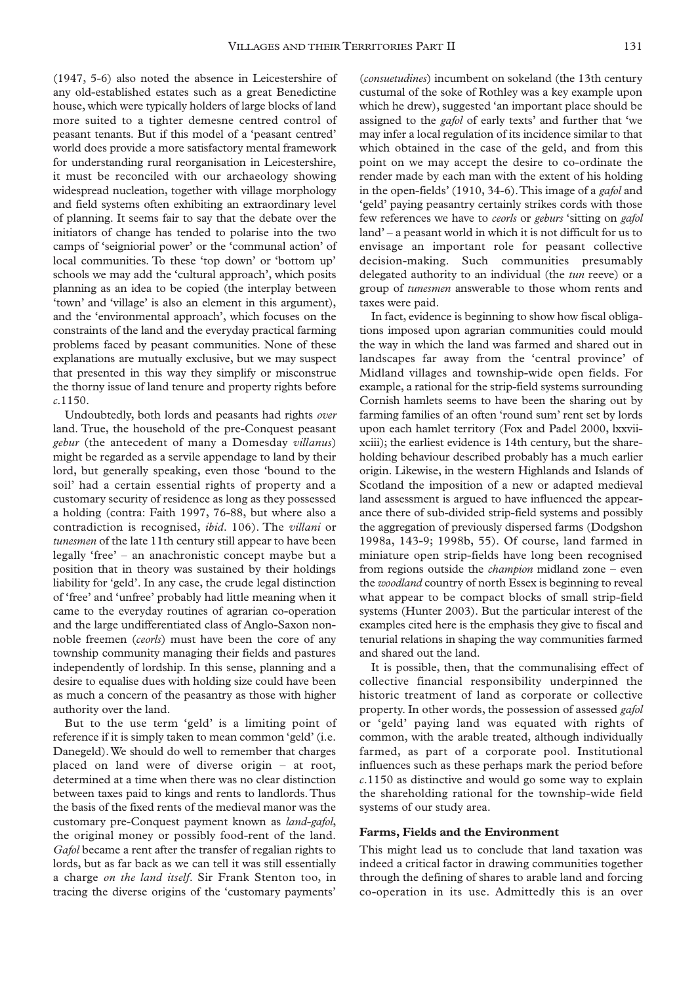(1947, 5-6) also noted the absence in Leicestershire of any old-established estates such as a great Benedictine house, which were typically holders of large blocks of land more suited to a tighter demesne centred control of peasant tenants. But if this model of a 'peasant centred' world does provide a more satisfactory mental framework for understanding rural reorganisation in Leicestershire, it must be reconciled with our archaeology showing widespread nucleation, together with village morphology and field systems often exhibiting an extraordinary level of planning. It seems fair to say that the debate over the initiators of change has tended to polarise into the two camps of 'seigniorial power' or the 'communal action' of local communities. To these 'top down' or 'bottom up' schools we may add the 'cultural approach', which posits planning as an idea to be copied (the interplay between 'town' and 'village' is also an element in this argument), and the 'environmental approach', which focuses on the constraints of the land and the everyday practical farming problems faced by peasant communities. None of these explanations are mutually exclusive, but we may suspect that presented in this way they simplify or misconstrue the thorny issue of land tenure and property rights before *c*.1150.

Undoubtedly, both lords and peasants had rights *over* land. True, the household of the pre-Conquest peasant *gebur* (the antecedent of many a Domesday *villanus*) might be regarded as a servile appendage to land by their lord, but generally speaking, even those 'bound to the soil' had a certain essential rights of property and a customary security of residence as long as they possessed a holding (contra: Faith 1997, 76-88, but where also a contradiction is recognised, *ibid*. 106). The *villani* or *tunesmen* of the late 11th century still appear to have been legally 'free' – an anachronistic concept maybe but a position that in theory was sustained by their holdings liability for 'geld'. In any case, the crude legal distinction of 'free' and 'unfree' probably had little meaning when it came to the everyday routines of agrarian co-operation and the large undifferentiated class of Anglo-Saxon nonnoble freemen (*ceorls*) must have been the core of any township community managing their fields and pastures independently of lordship. In this sense, planning and a desire to equalise dues with holding size could have been as much a concern of the peasantry as those with higher authority over the land.

But to the use term 'geld' is a limiting point of reference if it is simply taken to mean common 'geld' (i.e. Danegeld).We should do well to remember that charges placed on land were of diverse origin – at root, determined at a time when there was no clear distinction between taxes paid to kings and rents to landlords.Thus the basis of the fixed rents of the medieval manor was the customary pre-Conquest payment known as *land-gafol*, the original money or possibly food-rent of the land. *Gafol* became a rent after the transfer of regalian rights to lords, but as far back as we can tell it was still essentially a charge *on the land itself*. Sir Frank Stenton too, in tracing the diverse origins of the 'customary payments'

(*consuetudines*) incumbent on sokeland (the 13th century custumal of the soke of Rothley was a key example upon which he drew), suggested 'an important place should be assigned to the *gafol* of early texts' and further that 'we may infer a local regulation of its incidence similar to that which obtained in the case of the geld, and from this point on we may accept the desire to co-ordinate the render made by each man with the extent of his holding in the open-fields' (1910, 34-6).This image of a *gafol* and 'geld' paying peasantry certainly strikes cords with those few references we have to *ceorls* or *geburs* 'sitting on *gafol* land' – a peasant world in which it is not difficult for us to envisage an important role for peasant collective decision-making. Such communities presumably delegated authority to an individual (the *tun* reeve) or a group of *tunesmen* answerable to those whom rents and taxes were paid.

In fact, evidence is beginning to show how fiscal obligations imposed upon agrarian communities could mould the way in which the land was farmed and shared out in landscapes far away from the 'central province' of Midland villages and township-wide open fields. For example, a rational for the strip-field systems surrounding Cornish hamlets seems to have been the sharing out by farming families of an often 'round sum' rent set by lords upon each hamlet territory (Fox and Padel 2000, lxxviixciii); the earliest evidence is 14th century, but the shareholding behaviour described probably has a much earlier origin. Likewise, in the western Highlands and Islands of Scotland the imposition of a new or adapted medieval land assessment is argued to have influenced the appearance there of sub-divided strip-field systems and possibly the aggregation of previously dispersed farms (Dodgshon 1998a, 143-9; 1998b, 55). Of course, land farmed in miniature open strip-fields have long been recognised from regions outside the *champion* midland zone – even the *woodland* country of north Essex is beginning to reveal what appear to be compact blocks of small strip-field systems (Hunter 2003). But the particular interest of the examples cited here is the emphasis they give to fiscal and tenurial relations in shaping the way communities farmed and shared out the land.

It is possible, then, that the communalising effect of collective financial responsibility underpinned the historic treatment of land as corporate or collective property. In other words, the possession of assessed *gafol* or 'geld' paying land was equated with rights of common, with the arable treated, although individually farmed, as part of a corporate pool. Institutional influences such as these perhaps mark the period before *c*.1150 as distinctive and would go some way to explain the shareholding rational for the township-wide field systems of our study area.

#### **Farms, Fields and the Environment**

This might lead us to conclude that land taxation was indeed a critical factor in drawing communities together through the defining of shares to arable land and forcing co-operation in its use. Admittedly this is an over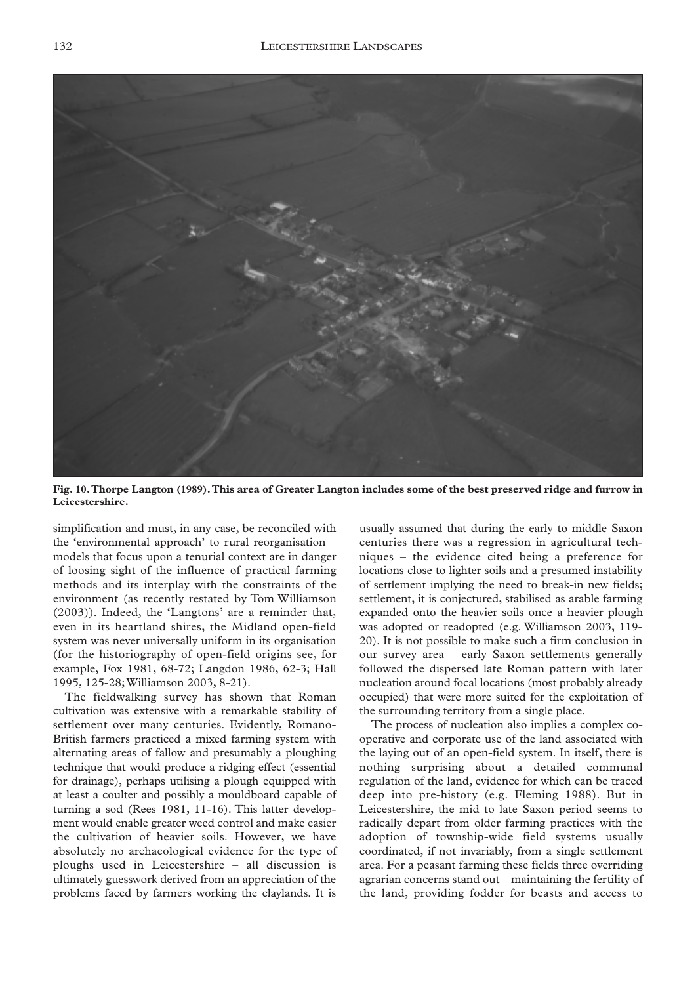

**Fig. 10.Thorpe Langton (1989).This area of Greater Langton includes some of the best preserved ridge and furrow in Leicestershire.**

simplification and must, in any case, be reconciled with the 'environmental approach' to rural reorganisation – models that focus upon a tenurial context are in danger of loosing sight of the influence of practical farming methods and its interplay with the constraints of the environment (as recently restated by Tom Williamson (2003)). Indeed, the 'Langtons' are a reminder that, even in its heartland shires, the Midland open-field system was never universally uniform in its organisation (for the historiography of open-field origins see, for example, Fox 1981, 68-72; Langdon 1986, 62-3; Hall 1995, 125-28;Williamson 2003, 8-21).

The fieldwalking survey has shown that Roman cultivation was extensive with a remarkable stability of settlement over many centuries. Evidently, Romano-British farmers practiced a mixed farming system with alternating areas of fallow and presumably a ploughing technique that would produce a ridging effect (essential for drainage), perhaps utilising a plough equipped with at least a coulter and possibly a mouldboard capable of turning a sod (Rees 1981, 11-16). This latter development would enable greater weed control and make easier the cultivation of heavier soils. However, we have absolutely no archaeological evidence for the type of ploughs used in Leicestershire – all discussion is ultimately guesswork derived from an appreciation of the problems faced by farmers working the claylands. It is

usually assumed that during the early to middle Saxon centuries there was a regression in agricultural techniques – the evidence cited being a preference for locations close to lighter soils and a presumed instability of settlement implying the need to break-in new fields; settlement, it is conjectured, stabilised as arable farming expanded onto the heavier soils once a heavier plough was adopted or readopted (e.g. Williamson 2003, 119- 20). It is not possible to make such a firm conclusion in our survey area – early Saxon settlements generally followed the dispersed late Roman pattern with later nucleation around focal locations (most probably already occupied) that were more suited for the exploitation of the surrounding territory from a single place.

The process of nucleation also implies a complex cooperative and corporate use of the land associated with the laying out of an open-field system. In itself, there is nothing surprising about a detailed communal regulation of the land, evidence for which can be traced deep into pre-history (e.g. Fleming 1988). But in Leicestershire, the mid to late Saxon period seems to radically depart from older farming practices with the adoption of township-wide field systems usually coordinated, if not invariably, from a single settlement area. For a peasant farming these fields three overriding agrarian concerns stand out – maintaining the fertility of the land, providing fodder for beasts and access to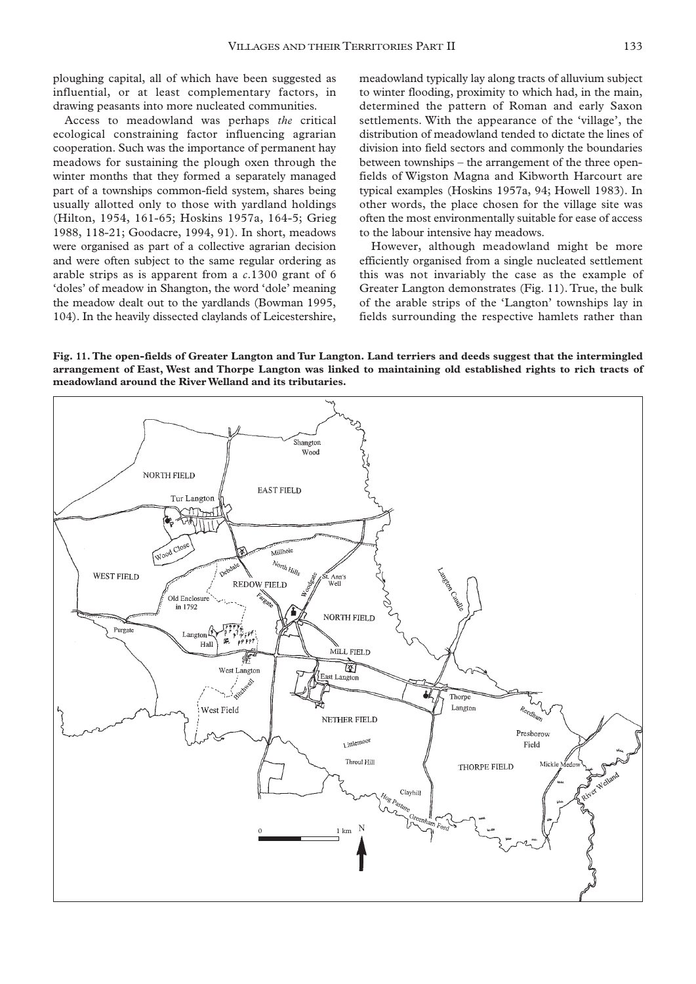ploughing capital, all of which have been suggested as influential, or at least complementary factors, in drawing peasants into more nucleated communities.

Access to meadowland was perhaps *the* critical ecological constraining factor influencing agrarian cooperation. Such was the importance of permanent hay meadows for sustaining the plough oxen through the winter months that they formed a separately managed part of a townships common-field system, shares being usually allotted only to those with yardland holdings (Hilton, 1954, 161-65; Hoskins 1957a, 164-5; Grieg 1988, 118-21; Goodacre, 1994, 91). In short, meadows were organised as part of a collective agrarian decision and were often subject to the same regular ordering as arable strips as is apparent from a *c*.1300 grant of 6 'doles' of meadow in Shangton, the word 'dole' meaning the meadow dealt out to the yardlands (Bowman 1995, 104). In the heavily dissected claylands of Leicestershire, meadowland typically lay along tracts of alluvium subject to winter flooding, proximity to which had, in the main, determined the pattern of Roman and early Saxon settlements. With the appearance of the 'village', the distribution of meadowland tended to dictate the lines of division into field sectors and commonly the boundaries between townships – the arrangement of the three openfields of Wigston Magna and Kibworth Harcourt are typical examples (Hoskins 1957a, 94; Howell 1983). In other words, the place chosen for the village site was often the most environmentally suitable for ease of access to the labour intensive hay meadows.

However, although meadowland might be more efficiently organised from a single nucleated settlement this was not invariably the case as the example of Greater Langton demonstrates (Fig. 11). True, the bulk of the arable strips of the 'Langton' townships lay in fields surrounding the respective hamlets rather than

**Fig. 11. The open-fields of Greater Langton and Tur Langton. Land terriers and deeds suggest that the intermingled arrangement of East, West and Thorpe Langton was linked to maintaining old established rights to rich tracts of meadowland around the River Welland and its tributaries.**

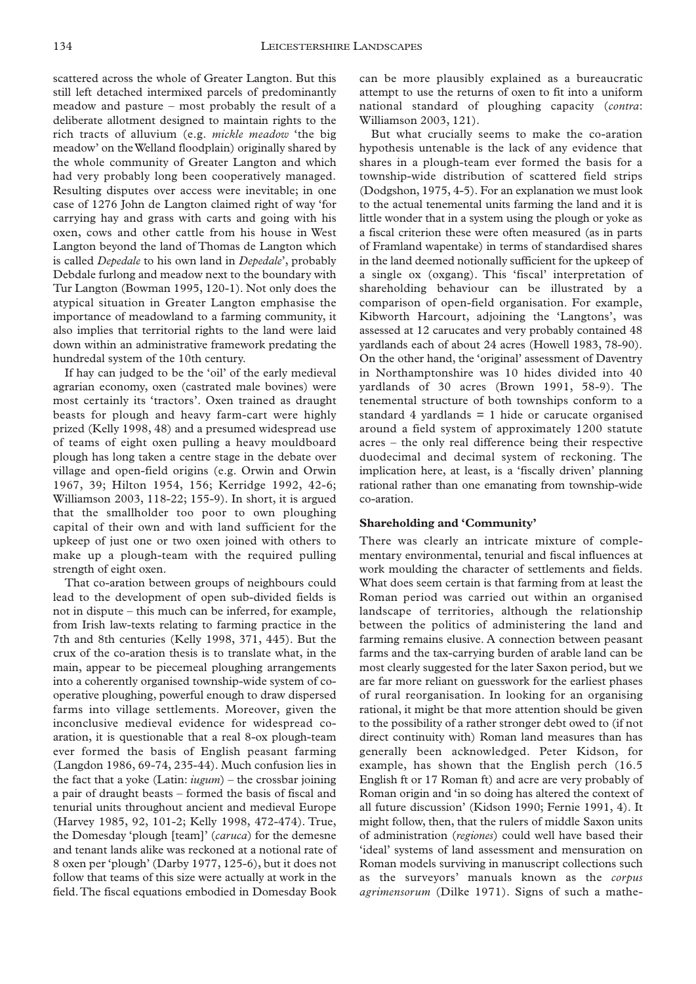scattered across the whole of Greater Langton. But this still left detached intermixed parcels of predominantly meadow and pasture – most probably the result of a deliberate allotment designed to maintain rights to the rich tracts of alluvium (e.g. *mickle meadow* 'the big meadow' on the Welland floodplain) originally shared by the whole community of Greater Langton and which had very probably long been cooperatively managed. Resulting disputes over access were inevitable; in one case of 1276 John de Langton claimed right of way 'for carrying hay and grass with carts and going with his oxen, cows and other cattle from his house in West Langton beyond the land of Thomas de Langton which is called *Depedale* to his own land in *Depedale*', probably Debdale furlong and meadow next to the boundary with Tur Langton (Bowman 1995, 120-1). Not only does the atypical situation in Greater Langton emphasise the importance of meadowland to a farming community, it also implies that territorial rights to the land were laid down within an administrative framework predating the hundredal system of the 10th century.

If hay can judged to be the 'oil' of the early medieval agrarian economy, oxen (castrated male bovines) were most certainly its 'tractors'. Oxen trained as draught beasts for plough and heavy farm-cart were highly prized (Kelly 1998, 48) and a presumed widespread use of teams of eight oxen pulling a heavy mouldboard plough has long taken a centre stage in the debate over village and open-field origins (e.g. Orwin and Orwin 1967, 39; Hilton 1954, 156; Kerridge 1992, 42-6; Williamson 2003, 118-22; 155-9). In short, it is argued that the smallholder too poor to own ploughing capital of their own and with land sufficient for the upkeep of just one or two oxen joined with others to make up a plough-team with the required pulling strength of eight oxen.

That co-aration between groups of neighbours could lead to the development of open sub-divided fields is not in dispute – this much can be inferred, for example, from Irish law-texts relating to farming practice in the 7th and 8th centuries (Kelly 1998, 371, 445). But the crux of the co-aration thesis is to translate what, in the main, appear to be piecemeal ploughing arrangements into a coherently organised township-wide system of cooperative ploughing, powerful enough to draw dispersed farms into village settlements. Moreover, given the inconclusive medieval evidence for widespread coaration, it is questionable that a real 8-ox plough-team ever formed the basis of English peasant farming (Langdon 1986, 69-74, 235-44). Much confusion lies in the fact that a yoke (Latin: *iugum*) – the crossbar joining a pair of draught beasts – formed the basis of fiscal and tenurial units throughout ancient and medieval Europe (Harvey 1985, 92, 101-2; Kelly 1998, 472-474). True, the Domesday 'plough [team]' (*caruca*) for the demesne and tenant lands alike was reckoned at a notional rate of 8 oxen per 'plough' (Darby 1977, 125-6), but it does not follow that teams of this size were actually at work in the field.The fiscal equations embodied in Domesday Book

can be more plausibly explained as a bureaucratic attempt to use the returns of oxen to fit into a uniform national standard of ploughing capacity (*contra*: Williamson 2003, 121).

But what crucially seems to make the co-aration hypothesis untenable is the lack of any evidence that shares in a plough-team ever formed the basis for a township-wide distribution of scattered field strips (Dodgshon, 1975, 4-5). For an explanation we must look to the actual tenemental units farming the land and it is little wonder that in a system using the plough or yoke as a fiscal criterion these were often measured (as in parts of Framland wapentake) in terms of standardised shares in the land deemed notionally sufficient for the upkeep of a single ox (oxgang). This 'fiscal' interpretation of shareholding behaviour can be illustrated by a comparison of open-field organisation. For example, Kibworth Harcourt, adjoining the 'Langtons', was assessed at 12 carucates and very probably contained 48 yardlands each of about 24 acres (Howell 1983, 78-90). On the other hand, the 'original' assessment of Daventry in Northamptonshire was 10 hides divided into 40 yardlands of 30 acres (Brown 1991, 58-9). The tenemental structure of both townships conform to a standard 4 yardlands = 1 hide or carucate organised around a field system of approximately 1200 statute acres – the only real difference being their respective duodecimal and decimal system of reckoning. The implication here, at least, is a 'fiscally driven' planning rational rather than one emanating from township-wide co-aration.

#### **Shareholding and 'Community'**

There was clearly an intricate mixture of complementary environmental, tenurial and fiscal influences at work moulding the character of settlements and fields. What does seem certain is that farming from at least the Roman period was carried out within an organised landscape of territories, although the relationship between the politics of administering the land and farming remains elusive. A connection between peasant farms and the tax-carrying burden of arable land can be most clearly suggested for the later Saxon period, but we are far more reliant on guesswork for the earliest phases of rural reorganisation. In looking for an organising rational, it might be that more attention should be given to the possibility of a rather stronger debt owed to (if not direct continuity with) Roman land measures than has generally been acknowledged. Peter Kidson, for example, has shown that the English perch (16.5 English ft or 17 Roman ft) and acre are very probably of Roman origin and 'in so doing has altered the context of all future discussion' (Kidson 1990; Fernie 1991, 4). It might follow, then, that the rulers of middle Saxon units of administration (*regiones*) could well have based their 'ideal' systems of land assessment and mensuration on Roman models surviving in manuscript collections such as the surveyors' manuals known as the *corpus agrimensorum* (Dilke 1971). Signs of such a mathe-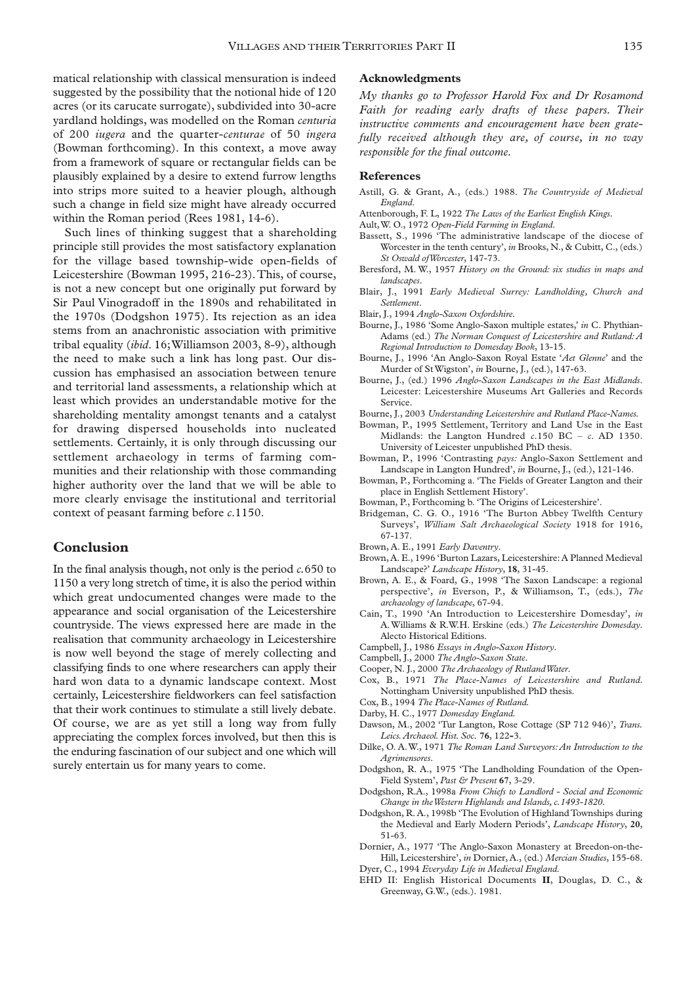matical relationship with classical mensuration is indeed suggested by the possibility that the notional hide of 120 acres (or its carucate surrogate), subdivided into 30-acre yardland holdings, was modelled on the Roman *centuria* of 200 *iugera* and the quarter-*centurae* of 50 *ingera* (Bowman forthcoming). In this context, a move away from a framework of square or rectangular fields can be plausibly explained by a desire to extend furrow lengths into strips more suited to a heavier plough, although such a change in field size might have already occurred within the Roman period (Rees 1981, 14-6).

Such lines of thinking suggest that a shareholding principle still provides the most satisfactory explanation for the village based township-wide open-fields of Leicestershire (Bowman 1995, 216-23).This, of course, is not a new concept but one originally put forward by Sir Paul Vinogradoff in the 1890s and rehabilitated in the 1970s (Dodgshon 1975). Its rejection as an idea stems from an anachronistic association with primitive tribal equality (*ibid*. 16;Williamson 2003, 8-9), although the need to make such a link has long past. Our discussion has emphasised an association between tenure and territorial land assessments, a relationship which at least which provides an understandable motive for the shareholding mentality amongst tenants and a catalyst for drawing dispersed households into nucleated settlements. Certainly, it is only through discussing our settlement archaeology in terms of farming communities and their relationship with those commanding higher authority over the land that we will be able to more clearly envisage the institutional and territorial context of peasant farming before *c*.1150.

## **Conclusion**

In the final analysis though, not only is the period *c.*650 to 1150 a very long stretch of time, it is also the period within which great undocumented changes were made to the appearance and social organisation of the Leicestershire countryside. The views expressed here are made in the realisation that community archaeology in Leicestershire is now well beyond the stage of merely collecting and classifying finds to one where researchers can apply their hard won data to a dynamic landscape context. Most certainly, Leicestershire fieldworkers can feel satisfaction that their work continues to stimulate a still lively debate. Of course, we are as yet still a long way from fully appreciating the complex forces involved, but then this is the enduring fascination of our subject and one which will surely entertain us for many years to come.

## **Acknowledgments**

*My thanks go to Professor Harold Fox and Dr Rosamond Faith for reading early drafts of these papers. Their instructive comments and encouragement have been gratefully received although they are, of course, in no way responsible for the final outcome.*

#### **References**

- Astill, G. & Grant, A., (eds.) 1988. *The Countryside of Medieval England*.
- Attenborough, F. L, 1922 *The Laws of the Earliest English Kings*.
- Ault,W. O., 1972 *Open-Field Farming in England*.
- Bassett, S., 1996 'The administrative landscape of the diocese of Worcester in the tenth century', *in* Brooks, N., & Cubitt, C., (eds.) *St Oswald of Worcester*, 147-73.
- Beresford, M. W., 1957 *History on the Ground: six studies in maps and landscapes*.
- Blair, J., 1991 *Early Medieval Surrey: Landholding, Church and Settlement*.
- Blair, J., 1994 *Anglo-Saxon Oxfordshire.*
- Bourne, J., 1986 'Some Anglo-Saxon multiple estates,' *in* C. Phythian-Adams (ed.) *The Norman Conquest of Leicestershire and Rutland: A Regional Introduction to Domesday Book*, 13-15.
- Bourne, J., 1996 'An Anglo-Saxon Royal Estate '*Aet Glenne*' and the Murder of St Wigston', *in* Bourne, J., (ed.), 147-63.
- Bourne, J., (ed.) 1996 *Anglo-Saxon Landscapes in the East Midlands*. Leicester: Leicestershire Museums Art Galleries and Records Service.
- Bourne, J., 2003 *Understanding Leicestershire and Rutland Place-Names.*
- Bowman, P., 1995 Settlement, Territory and Land Use in the East Midlands: the Langton Hundred *c*.150 BC – *c*. AD 1350. University of Leicester unpublished PhD thesis.
- Bowman, P., 1996 'Contrasting *pays:* Anglo-Saxon Settlement and Landscape in Langton Hundred', *in* Bourne, J., (ed.), 121-146.
- Bowman, P., Forthcoming a. 'The Fields of Greater Langton and their place in English Settlement History'.
- Bowman, P., Forthcoming b. 'The Origins of Leicestershire'.
- Bridgeman, C. G. O., 1916 'The Burton Abbey Twelfth Century Surveys', *William Salt Archaeological Society* 1918 for 1916, 67-137.
- Brown, A. E., 1991 *Early Daventry*.
- Brown, A. E., 1996 'Burton Lazars, Leicestershire: A Planned Medieval Landscape?' *Landscape History*, **18**, 31-45.
- Brown, A. E., & Foard, G., 1998 'The Saxon Landscape: a regional perspective', *in* Everson, P., & Williamson, T., (eds.), *The archaeology of landscape*, 67-94.
- Cain, T., 1990 'An Introduction to Leicestershire Domesday', *in* A. Williams & R.W.H. Erskine (eds.) *The Leicestershire Domesday*. Alecto Historical Editions.
- Campbell, J., 1986 *Essays in Anglo-Saxon History*.
- Campbell, J., 2000 *The Anglo-Saxon State.*
- Cooper, N. J., 2000 *The Archaeology of Rutland Water*.
- Cox, B., 1971 *The Place-Names of Leicestershire and Rutland*. Nottingham University unpublished PhD thesis.
- Cox, B., 1994 *The Place-Names of Rutland.*
- Darby, H. C., 1977 *Domesday England.*
- Dawson, M., 2002 'Tur Langton, Rose Cottage (SP 712 946)', *Trans. Leics.Archaeol. Hist. Soc.* **76**, 122**-**3.
- Dilke, O. A.W., 1971 *The Roman Land Surveyors:An Introduction to the Agrimensores*.
- Dodgshon, R. A., 1975 'The Landholding Foundation of the Open-Field System', *Past & Present* **67**, 3-29.
- Dodgshon, R.A., 1998a *From Chiefs to Landlord Social and Economic Change in the Western Highlands and Islands, c.1493-1820*.
- Dodgshon, R. A., 1998b 'The Evolution of Highland Townships during the Medieval and Early Modern Periods', *Landscape History*, **20**, 51-63.
- Dornier, A., 1977 'The Anglo-Saxon Monastery at Breedon-on-the-Hill, Leicestershire', *in* Dornier, A., (ed.) *Mercian Studies*, 155-68. Dyer, C., 1994 *Everyday Life in Medieval England*.
- 
- EHD II: English Historical Documents **II**, Douglas, D. C., & Greenway, G.W., (eds.). 1981.